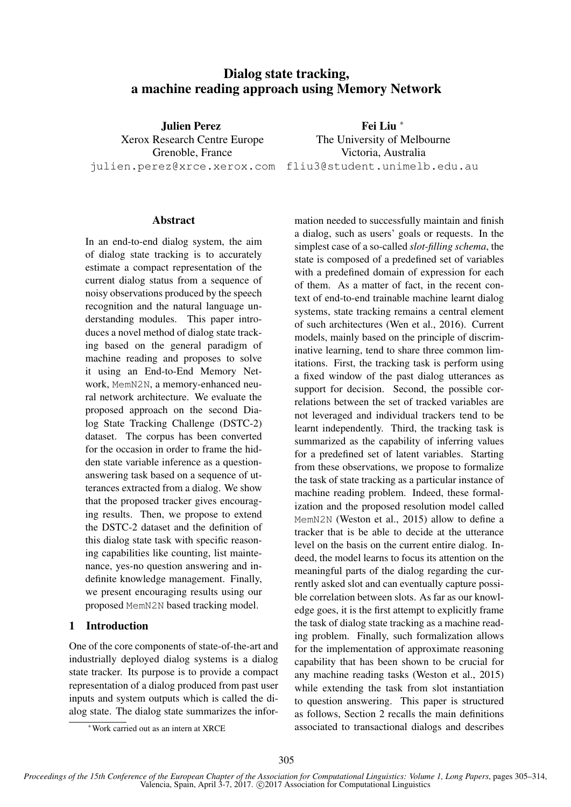# Dialog state tracking, a machine reading approach using Memory Network

Julien Perez Xerox Research Centre Europe Grenoble, France julien.perez@xrce.xerox.com fliu3@student.unimelb.edu.au

Fei Liu <sup>∗</sup> The University of Melbourne Victoria, Australia

### Abstract

In an end-to-end dialog system, the aim of dialog state tracking is to accurately estimate a compact representation of the current dialog status from a sequence of noisy observations produced by the speech recognition and the natural language understanding modules. This paper introduces a novel method of dialog state tracking based on the general paradigm of machine reading and proposes to solve it using an End-to-End Memory Network, MemN2N, a memory-enhanced neural network architecture. We evaluate the proposed approach on the second Dialog State Tracking Challenge (DSTC-2) dataset. The corpus has been converted for the occasion in order to frame the hidden state variable inference as a questionanswering task based on a sequence of utterances extracted from a dialog. We show that the proposed tracker gives encouraging results. Then, we propose to extend the DSTC-2 dataset and the definition of this dialog state task with specific reasoning capabilities like counting, list maintenance, yes-no question answering and indefinite knowledge management. Finally, we present encouraging results using our proposed MemN2N based tracking model.

# 1 Introduction

One of the core components of state-of-the-art and industrially deployed dialog systems is a dialog state tracker. Its purpose is to provide a compact representation of a dialog produced from past user inputs and system outputs which is called the dialog state. The dialog state summarizes the infor-

mation needed to successfully maintain and finish a dialog, such as users' goals or requests. In the simplest case of a so-called *slot-filling schema*, the state is composed of a predefined set of variables with a predefined domain of expression for each of them. As a matter of fact, in the recent context of end-to-end trainable machine learnt dialog systems, state tracking remains a central element of such architectures (Wen et al., 2016). Current models, mainly based on the principle of discriminative learning, tend to share three common limitations. First, the tracking task is perform using a fixed window of the past dialog utterances as support for decision. Second, the possible correlations between the set of tracked variables are not leveraged and individual trackers tend to be learnt independently. Third, the tracking task is summarized as the capability of inferring values for a predefined set of latent variables. Starting from these observations, we propose to formalize the task of state tracking as a particular instance of machine reading problem. Indeed, these formalization and the proposed resolution model called MemN2N (Weston et al., 2015) allow to define a tracker that is be able to decide at the utterance level on the basis on the current entire dialog. Indeed, the model learns to focus its attention on the meaningful parts of the dialog regarding the currently asked slot and can eventually capture possible correlation between slots. As far as our knowledge goes, it is the first attempt to explicitly frame the task of dialog state tracking as a machine reading problem. Finally, such formalization allows for the implementation of approximate reasoning capability that has been shown to be crucial for any machine reading tasks (Weston et al., 2015) while extending the task from slot instantiation to question answering. This paper is structured as follows, Section 2 recalls the main definitions associated to transactional dialogs and describes

<sup>∗</sup>Work carried out as an intern at XRCE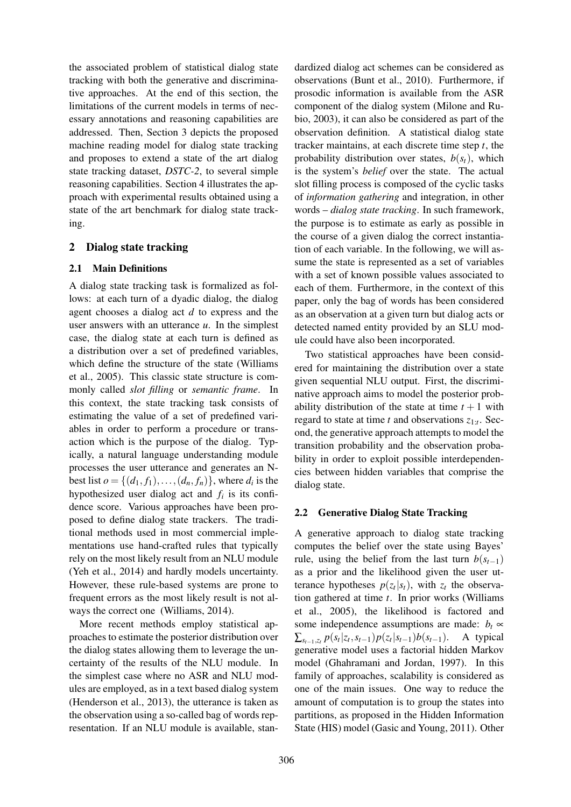the associated problem of statistical dialog state tracking with both the generative and discriminative approaches. At the end of this section, the limitations of the current models in terms of necessary annotations and reasoning capabilities are addressed. Then, Section 3 depicts the proposed machine reading model for dialog state tracking and proposes to extend a state of the art dialog state tracking dataset, *DSTC-2*, to several simple reasoning capabilities. Section 4 illustrates the approach with experimental results obtained using a state of the art benchmark for dialog state tracking.

# 2 Dialog state tracking

# 2.1 Main Definitions

A dialog state tracking task is formalized as follows: at each turn of a dyadic dialog, the dialog agent chooses a dialog act *d* to express and the user answers with an utterance *u*. In the simplest case, the dialog state at each turn is defined as a distribution over a set of predefined variables, which define the structure of the state (Williams et al., 2005). This classic state structure is commonly called *slot filling* or *semantic frame*. In this context, the state tracking task consists of estimating the value of a set of predefined variables in order to perform a procedure or transaction which is the purpose of the dialog. Typically, a natural language understanding module processes the user utterance and generates an Nbest list  $o = \{(d_1, f_1), \ldots, (d_n, f_n)\}$ , where  $d_i$  is the hypothesized user dialog act and  $f_i$  is its confidence score. Various approaches have been proposed to define dialog state trackers. The traditional methods used in most commercial implementations use hand-crafted rules that typically rely on the most likely result from an NLU module (Yeh et al., 2014) and hardly models uncertainty. However, these rule-based systems are prone to frequent errors as the most likely result is not always the correct one (Williams, 2014).

More recent methods employ statistical approaches to estimate the posterior distribution over the dialog states allowing them to leverage the uncertainty of the results of the NLU module. In the simplest case where no ASR and NLU modules are employed, as in a text based dialog system (Henderson et al., 2013), the utterance is taken as the observation using a so-called bag of words representation. If an NLU module is available, stan-

dardized dialog act schemes can be considered as observations (Bunt et al., 2010). Furthermore, if prosodic information is available from the ASR component of the dialog system (Milone and Rubio, 2003), it can also be considered as part of the observation definition. A statistical dialog state tracker maintains, at each discrete time step *t*, the probability distribution over states,  $b(s_t)$ , which is the system's *belief* over the state. The actual slot filling process is composed of the cyclic tasks of *information gathering* and integration, in other words – *dialog state tracking*. In such framework, the purpose is to estimate as early as possible in the course of a given dialog the correct instantiation of each variable. In the following, we will assume the state is represented as a set of variables with a set of known possible values associated to each of them. Furthermore, in the context of this paper, only the bag of words has been considered as an observation at a given turn but dialog acts or detected named entity provided by an SLU module could have also been incorporated.

Two statistical approaches have been considered for maintaining the distribution over a state given sequential NLU output. First, the discriminative approach aims to model the posterior probability distribution of the state at time  $t + 1$  with regard to state at time *t* and observations *z*1:*<sup>t</sup>* . Second, the generative approach attempts to model the transition probability and the observation probability in order to exploit possible interdependencies between hidden variables that comprise the dialog state.

# 2.2 Generative Dialog State Tracking

A generative approach to dialog state tracking computes the belief over the state using Bayes' rule, using the belief from the last turn  $b(s_{t-1})$ as a prior and the likelihood given the user utterance hypotheses  $p(z_t|s_t)$ , with  $z_t$  the observation gathered at time *t*. In prior works (Williams et al., 2005), the likelihood is factored and some independence assumptions are made:  $b_t \propto$  $\sum_{s_{t-1}, z_t} p(s_t | z_t, s_{t-1}) p(z_t | s_{t-1}) b(s_{t-1}).$  A typical generative model uses a factorial hidden Markov model (Ghahramani and Jordan, 1997). In this family of approaches, scalability is considered as one of the main issues. One way to reduce the amount of computation is to group the states into partitions, as proposed in the Hidden Information State (HIS) model (Gasic and Young, 2011). Other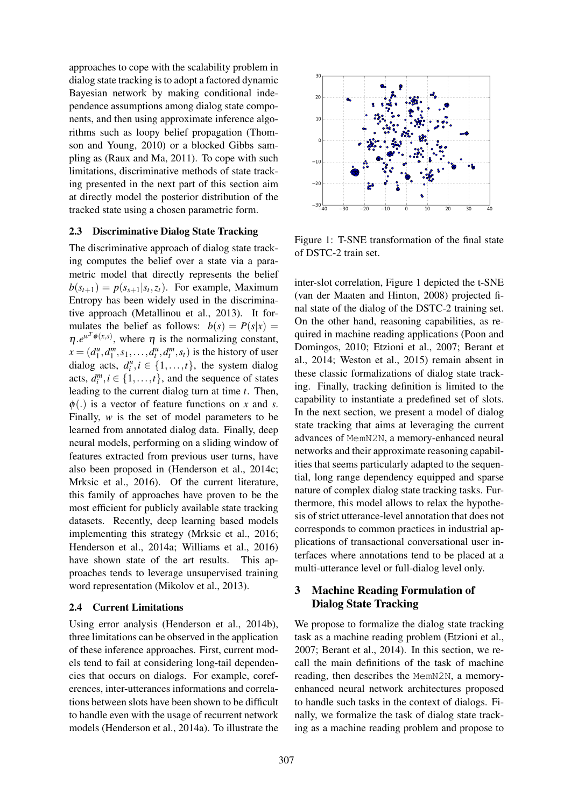approaches to cope with the scalability problem in dialog state tracking is to adopt a factored dynamic Bayesian network by making conditional independence assumptions among dialog state components, and then using approximate inference algorithms such as loopy belief propagation (Thomson and Young, 2010) or a blocked Gibbs sampling as (Raux and Ma, 2011). To cope with such limitations, discriminative methods of state tracking presented in the next part of this section aim at directly model the posterior distribution of the tracked state using a chosen parametric form.

#### 2.3 Discriminative Dialog State Tracking

The discriminative approach of dialog state tracking computes the belief over a state via a parametric model that directly represents the belief  $b(s_{t+1}) = p(s_{s+1}|s_t, z_t)$ . For example, Maximum Entropy has been widely used in the discriminative approach (Metallinou et al., 2013). It formulates the belief as follows:  $b(s) = P(s|x)$  $\eta e^{w^T \phi(x,s)}$ , where  $\eta$  is the normalizing constant,  $x = (d_1^u, d_1^m, s_1, \dots, d_t^u, d_t^m, s_t)$  is the history of user dialog acts,  $d_i^u, i \in \{1, \ldots, t\}$ , the system dialog acts,  $d_i^m$ ,  $i \in \{1, ..., t\}$ , and the sequence of states leading to the current dialog turn at time *t*. Then, φ(.) is a vector of feature functions on *x* and *s*. Finally, *w* is the set of model parameters to be learned from annotated dialog data. Finally, deep neural models, performing on a sliding window of features extracted from previous user turns, have also been proposed in (Henderson et al., 2014c; Mrksic et al., 2016). Of the current literature, this family of approaches have proven to be the most efficient for publicly available state tracking datasets. Recently, deep learning based models implementing this strategy (Mrksic et al., 2016; Henderson et al., 2014a; Williams et al., 2016) have shown state of the art results. This approaches tends to leverage unsupervised training word representation (Mikolov et al., 2013).

#### 2.4 Current Limitations

Using error analysis (Henderson et al., 2014b), three limitations can be observed in the application of these inference approaches. First, current models tend to fail at considering long-tail dependencies that occurs on dialogs. For example, coreferences, inter-utterances informations and correlations between slots have been shown to be difficult to handle even with the usage of recurrent network models (Henderson et al., 2014a). To illustrate the



Figure 1: T-SNE transformation of the final state of DSTC-2 train set.

inter-slot correlation, Figure 1 depicted the t-SNE (van der Maaten and Hinton, 2008) projected final state of the dialog of the DSTC-2 training set. On the other hand, reasoning capabilities, as required in machine reading applications (Poon and Domingos, 2010; Etzioni et al., 2007; Berant et al., 2014; Weston et al., 2015) remain absent in these classic formalizations of dialog state tracking. Finally, tracking definition is limited to the capability to instantiate a predefined set of slots. In the next section, we present a model of dialog state tracking that aims at leveraging the current advances of MemN2N, a memory-enhanced neural networks and their approximate reasoning capabilities that seems particularly adapted to the sequential, long range dependency equipped and sparse nature of complex dialog state tracking tasks. Furthermore, this model allows to relax the hypothesis of strict utterance-level annotation that does not corresponds to common practices in industrial applications of transactional conversational user interfaces where annotations tend to be placed at a multi-utterance level or full-dialog level only.

# 3 Machine Reading Formulation of Dialog State Tracking

We propose to formalize the dialog state tracking task as a machine reading problem (Etzioni et al., 2007; Berant et al., 2014). In this section, we recall the main definitions of the task of machine reading, then describes the MemN2N, a memoryenhanced neural network architectures proposed to handle such tasks in the context of dialogs. Finally, we formalize the task of dialog state tracking as a machine reading problem and propose to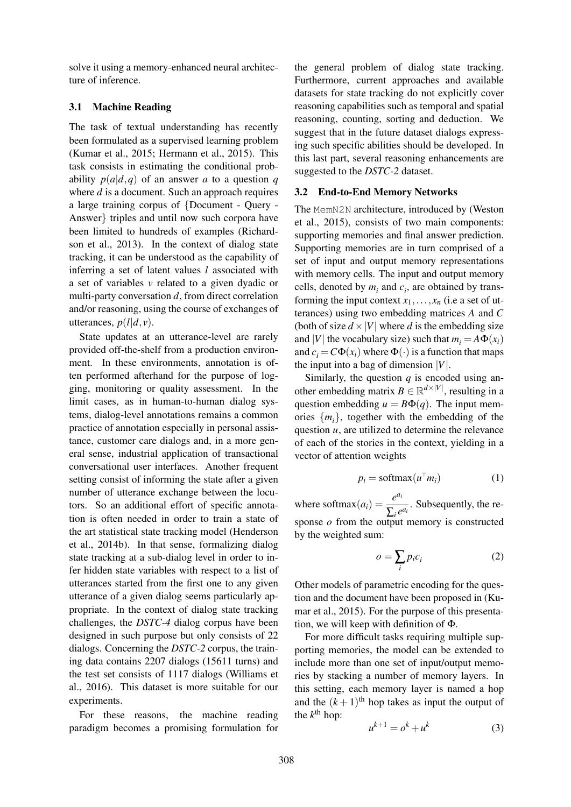solve it using a memory-enhanced neural architecture of inference.

#### 3.1 Machine Reading

The task of textual understanding has recently been formulated as a supervised learning problem (Kumar et al., 2015; Hermann et al., 2015). This task consists in estimating the conditional probability  $p(a|d, q)$  of an answer *a* to a question *q* where *d* is a document. Such an approach requires a large training corpus of {Document - Query - Answer} triples and until now such corpora have been limited to hundreds of examples (Richardson et al., 2013). In the context of dialog state tracking, it can be understood as the capability of inferring a set of latent values *l* associated with a set of variables *v* related to a given dyadic or multi-party conversation *d*, from direct correlation and/or reasoning, using the course of exchanges of utterances,  $p(l|d, v)$ .

State updates at an utterance-level are rarely provided off-the-shelf from a production environment. In these environments, annotation is often performed afterhand for the purpose of logging, monitoring or quality assessment. In the limit cases, as in human-to-human dialog systems, dialog-level annotations remains a common practice of annotation especially in personal assistance, customer care dialogs and, in a more general sense, industrial application of transactional conversational user interfaces. Another frequent setting consist of informing the state after a given number of utterance exchange between the locutors. So an additional effort of specific annotation is often needed in order to train a state of the art statistical state tracking model (Henderson et al., 2014b). In that sense, formalizing dialog state tracking at a sub-dialog level in order to infer hidden state variables with respect to a list of utterances started from the first one to any given utterance of a given dialog seems particularly appropriate. In the context of dialog state tracking challenges, the *DSTC-4* dialog corpus have been designed in such purpose but only consists of 22 dialogs. Concerning the *DSTC-2* corpus, the training data contains 2207 dialogs (15611 turns) and the test set consists of 1117 dialogs (Williams et al., 2016). This dataset is more suitable for our experiments.

For these reasons, the machine reading paradigm becomes a promising formulation for

the general problem of dialog state tracking. Furthermore, current approaches and available datasets for state tracking do not explicitly cover reasoning capabilities such as temporal and spatial reasoning, counting, sorting and deduction. We suggest that in the future dataset dialogs expressing such specific abilities should be developed. In this last part, several reasoning enhancements are suggested to the *DSTC-2* dataset.

#### 3.2 End-to-End Memory Networks

The MemN2N architecture, introduced by (Weston et al., 2015), consists of two main components: supporting memories and final answer prediction. Supporting memories are in turn comprised of a set of input and output memory representations with memory cells. The input and output memory cells, denoted by  $m_i$  and  $c_i$ , are obtained by transforming the input context  $x_1, \ldots, x_n$  (i.e a set of utterances) using two embedding matrices *A* and *C* (both of size  $d \times |V|$  where *d* is the embedding size and |*V*| the vocabulary size) such that  $m_i = A\Phi(x_i)$ and  $c_i = C\Phi(x_i)$  where  $\Phi(\cdot)$  is a function that maps the input into a bag of dimension  $|V|$ .

Similarly, the question  $q$  is encoded using another embedding matrix  $B \in \mathbb{R}^{d \times |V|}$ , resulting in a question embedding  $u = B\Phi(q)$ . The input memories  $\{m_i\}$ , together with the embedding of the question *u*, are utilized to determine the relevance of each of the stories in the context, yielding in a vector of attention weights

$$
p_i = \text{softmax}(u^\top m_i) \tag{1}
$$

where softmax $(a_i) = \frac{e^{a_i}}{\sum_i a_i}$  $\sum_{i} e^{a_i}$ . Subsequently, the response  $\sigma$  from the output memory is constructed by the weighted sum:

$$
o = \sum_{i} p_i c_i \tag{2}
$$

Other models of parametric encoding for the question and the document have been proposed in (Kumar et al., 2015). For the purpose of this presentation, we will keep with definition of Φ.

For more difficult tasks requiring multiple supporting memories, the model can be extended to include more than one set of input/output memories by stacking a number of memory layers. In this setting, each memory layer is named a hop and the  $(k+1)$ <sup>th</sup> hop takes as input the output of the  $k^{\text{th}}$  hop:

$$
u^{k+1} = o^k + u^k \tag{3}
$$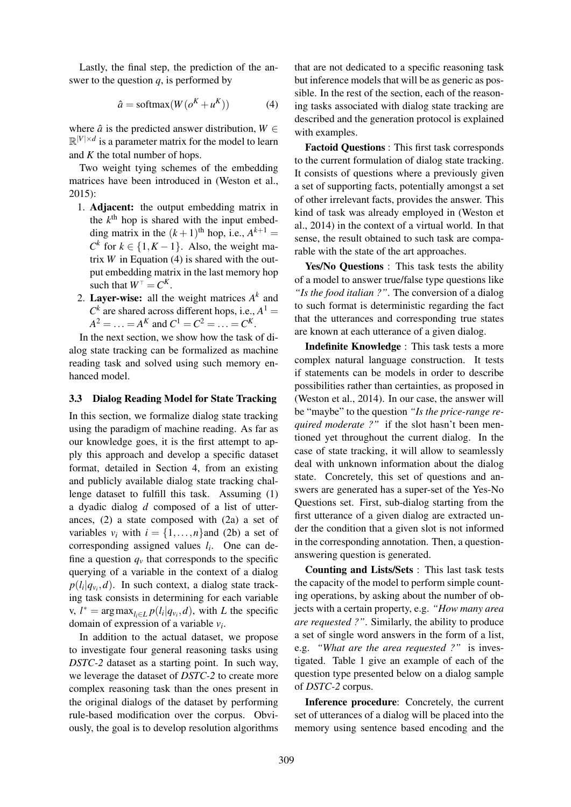Lastly, the final step, the prediction of the answer to the question *q*, is performed by

$$
\hat{a} = \text{softmax}(W(o^K + u^K)) \tag{4}
$$

where  $\hat{a}$  is the predicted answer distribution,  $W \in$  $\mathbb{R}^{|V| \times d}$  is a parameter matrix for the model to learn and *K* the total number of hops.

Two weight tying schemes of the embedding matrices have been introduced in (Weston et al., 2015):

- 1. Adjacent: the output embedding matrix in the  $k^{\text{th}}$  hop is shared with the input embedding matrix in the  $(k+1)$ <sup>th</sup> hop, i.e.,  $A^{k+1}$  =  $C^k$  for  $k \in \{1, K - 1\}$ . Also, the weight matrix  $W$  in Equation (4) is shared with the output embedding matrix in the last memory hop such that  $W^{\top} = C^{K}$ .
- 2. Layer-wise: all the weight matrices  $A^k$  and  $C^k$  are shared across different hops, i.e.,  $A^1 =$  $A^2 = \ldots = A^K$  and  $C^1 = C^2 = \ldots = C^K$ .

In the next section, we show how the task of dialog state tracking can be formalized as machine reading task and solved using such memory enhanced model.

#### 3.3 Dialog Reading Model for State Tracking

In this section, we formalize dialog state tracking using the paradigm of machine reading. As far as our knowledge goes, it is the first attempt to apply this approach and develop a specific dataset format, detailed in Section 4, from an existing and publicly available dialog state tracking challenge dataset to fulfill this task. Assuming (1) a dyadic dialog *d* composed of a list of utterances, (2) a state composed with (2a) a set of variables  $v_i$  with  $i = \{1, ..., n\}$  and (2b) a set of corresponding assigned values *l<sup>i</sup>* . One can define a question  $q<sub>v</sub>$  that corresponds to the specific querying of a variable in the context of a dialog  $p(l_i|q_{v_i}, d)$ . In such context, a dialog state tracking task consists in determining for each variable v,  $l^* = \arg \max_{l_i \in L} p(l_i | q_{v_i}, d)$ , with *L* the specific domain of expression of a variable *v<sup>i</sup>* .

In addition to the actual dataset, we propose to investigate four general reasoning tasks using *DSTC-2* dataset as a starting point. In such way, we leverage the dataset of *DSTC-2* to create more complex reasoning task than the ones present in the original dialogs of the dataset by performing rule-based modification over the corpus. Obviously, the goal is to develop resolution algorithms that are not dedicated to a specific reasoning task but inference models that will be as generic as possible. In the rest of the section, each of the reasoning tasks associated with dialog state tracking are described and the generation protocol is explained with examples.

Factoid Questions : This first task corresponds to the current formulation of dialog state tracking. It consists of questions where a previously given a set of supporting facts, potentially amongst a set of other irrelevant facts, provides the answer. This kind of task was already employed in (Weston et al., 2014) in the context of a virtual world. In that sense, the result obtained to such task are comparable with the state of the art approaches.

Yes/No Questions : This task tests the ability of a model to answer true/false type questions like *"Is the food italian ?"*. The conversion of a dialog to such format is deterministic regarding the fact that the utterances and corresponding true states are known at each utterance of a given dialog.

Indefinite Knowledge : This task tests a more complex natural language construction. It tests if statements can be models in order to describe possibilities rather than certainties, as proposed in (Weston et al., 2014). In our case, the answer will be "maybe" to the question *"Is the price-range required moderate ?"* if the slot hasn't been mentioned yet throughout the current dialog. In the case of state tracking, it will allow to seamlessly deal with unknown information about the dialog state. Concretely, this set of questions and answers are generated has a super-set of the Yes-No Questions set. First, sub-dialog starting from the first utterance of a given dialog are extracted under the condition that a given slot is not informed in the corresponding annotation. Then, a questionanswering question is generated.

Counting and Lists/Sets : This last task tests the capacity of the model to perform simple counting operations, by asking about the number of objects with a certain property, e.g. *"How many area are requested ?"*. Similarly, the ability to produce a set of single word answers in the form of a list, e.g. *"What are the area requested ?"* is investigated. Table 1 give an example of each of the question type presented below on a dialog sample of *DSTC-2* corpus.

Inference procedure: Concretely, the current set of utterances of a dialog will be placed into the memory using sentence based encoding and the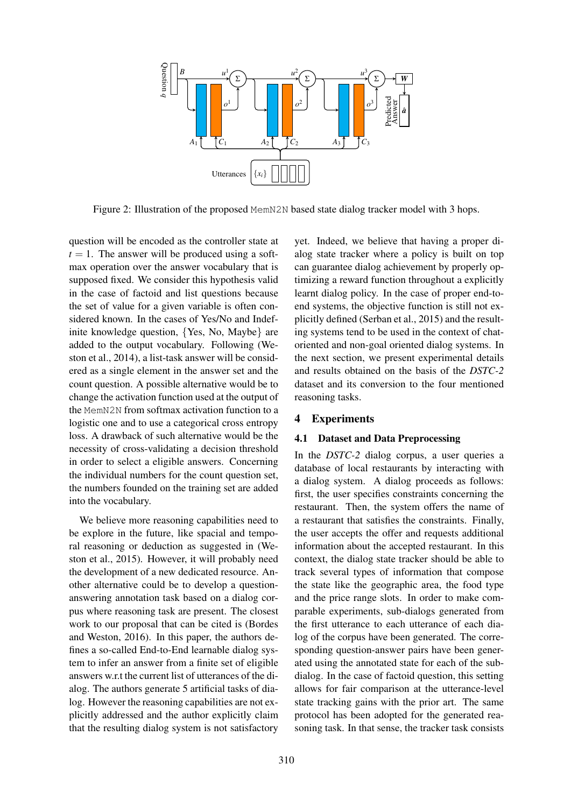

Figure 2: Illustration of the proposed MemN2N based state dialog tracker model with 3 hops.

question will be encoded as the controller state at  $t = 1$ . The answer will be produced using a softmax operation over the answer vocabulary that is supposed fixed. We consider this hypothesis valid in the case of factoid and list questions because the set of value for a given variable is often considered known. In the cases of Yes/No and Indefinite knowledge question, {Yes, No, Maybe} are added to the output vocabulary. Following (Weston et al., 2014), a list-task answer will be considered as a single element in the answer set and the count question. A possible alternative would be to change the activation function used at the output of the MemN2N from softmax activation function to a logistic one and to use a categorical cross entropy loss. A drawback of such alternative would be the necessity of cross-validating a decision threshold in order to select a eligible answers. Concerning the individual numbers for the count question set, the numbers founded on the training set are added into the vocabulary.

We believe more reasoning capabilities need to be explore in the future, like spacial and temporal reasoning or deduction as suggested in (Weston et al., 2015). However, it will probably need the development of a new dedicated resource. Another alternative could be to develop a questionanswering annotation task based on a dialog corpus where reasoning task are present. The closest work to our proposal that can be cited is (Bordes and Weston, 2016). In this paper, the authors defines a so-called End-to-End learnable dialog system to infer an answer from a finite set of eligible answers w.r.t the current list of utterances of the dialog. The authors generate 5 artificial tasks of dialog. However the reasoning capabilities are not explicitly addressed and the author explicitly claim that the resulting dialog system is not satisfactory yet. Indeed, we believe that having a proper dialog state tracker where a policy is built on top can guarantee dialog achievement by properly optimizing a reward function throughout a explicitly learnt dialog policy. In the case of proper end-toend systems, the objective function is still not explicitly defined (Serban et al., 2015) and the resulting systems tend to be used in the context of chatoriented and non-goal oriented dialog systems. In the next section, we present experimental details and results obtained on the basis of the *DSTC-2* dataset and its conversion to the four mentioned reasoning tasks.

#### 4 Experiments

#### 4.1 Dataset and Data Preprocessing

In the *DSTC-2* dialog corpus, a user queries a database of local restaurants by interacting with a dialog system. A dialog proceeds as follows: first, the user specifies constraints concerning the restaurant. Then, the system offers the name of a restaurant that satisfies the constraints. Finally, the user accepts the offer and requests additional information about the accepted restaurant. In this context, the dialog state tracker should be able to track several types of information that compose the state like the geographic area, the food type and the price range slots. In order to make comparable experiments, sub-dialogs generated from the first utterance to each utterance of each dialog of the corpus have been generated. The corresponding question-answer pairs have been generated using the annotated state for each of the subdialog. In the case of factoid question, this setting allows for fair comparison at the utterance-level state tracking gains with the prior art. The same protocol has been adopted for the generated reasoning task. In that sense, the tracker task consists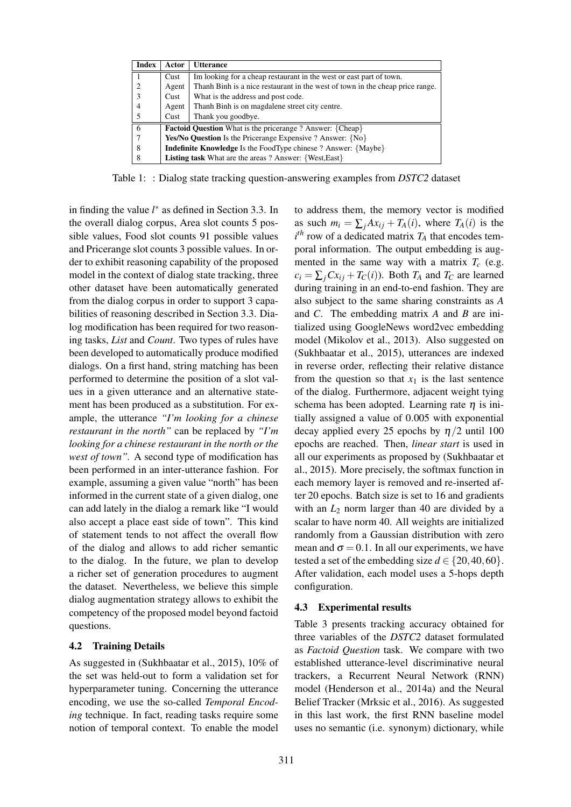| <b>Index</b> | Actor                                                                 | <b>Utterance</b>                                                              |  |  |  |
|--------------|-----------------------------------------------------------------------|-------------------------------------------------------------------------------|--|--|--|
|              | Cust                                                                  | Im looking for a cheap restaurant in the west or east part of town.           |  |  |  |
| 2            | Agent                                                                 | Thanh Binh is a nice restaurant in the west of town in the cheap price range. |  |  |  |
| 3            | Cust                                                                  | What is the address and post code.                                            |  |  |  |
| 4            | Agent                                                                 | Thanh Binh is on magdalene street city centre.                                |  |  |  |
| 5            | Cust                                                                  | Thank you goodbye.                                                            |  |  |  |
| 6            | <b>Factoid Question</b> What is the pricerange? Answer: {Cheap}       |                                                                               |  |  |  |
| 7            | <b>Yes/No Question</b> Is the Pricerange Expensive ? Answer: $\{No\}$ |                                                                               |  |  |  |
| 8            | <b>Indefinite Knowledge</b> Is the FoodType chinese? Answer: {Maybe}  |                                                                               |  |  |  |
| 8            | <b>Listing task</b> What are the areas? Answer: {West, East}          |                                                                               |  |  |  |

Table 1: : Dialog state tracking question-answering examples from *DSTC2* dataset

in finding the value  $l^*$  as defined in Section 3.3. In the overall dialog corpus, Area slot counts 5 possible values, Food slot counts 91 possible values and Pricerange slot counts 3 possible values. In order to exhibit reasoning capability of the proposed model in the context of dialog state tracking, three other dataset have been automatically generated from the dialog corpus in order to support 3 capabilities of reasoning described in Section 3.3. Dialog modification has been required for two reasoning tasks, *List* and *Count*. Two types of rules have been developed to automatically produce modified dialogs. On a first hand, string matching has been performed to determine the position of a slot values in a given utterance and an alternative statement has been produced as a substitution. For example, the utterance *"I'm looking for a chinese restaurant in the north"* can be replaced by *"I'm looking for a chinese restaurant in the north or the* west of town". A second type of modification has been performed in an inter-utterance fashion. For example, assuming a given value "north" has been informed in the current state of a given dialog, one can add lately in the dialog a remark like "I would also accept a place east side of town". This kind of statement tends to not affect the overall flow of the dialog and allows to add richer semantic to the dialog. In the future, we plan to develop a richer set of generation procedures to augment the dataset. Nevertheless, we believe this simple dialog augmentation strategy allows to exhibit the competency of the proposed model beyond factoid questions.

#### 4.2 Training Details

As suggested in (Sukhbaatar et al., 2015), 10% of the set was held-out to form a validation set for hyperparameter tuning. Concerning the utterance encoding, we use the so-called *Temporal Encoding* technique. In fact, reading tasks require some notion of temporal context. To enable the model

to address them, the memory vector is modified as such  $m_i = \sum_j A x_{ij} + T_A(i)$ , where  $T_A(i)$  is the  $i<sup>th</sup>$  row of a dedicated matrix  $T_A$  that encodes temporal information. The output embedding is augmented in the same way with a matrix  $T_c$  (e.g.  $c_i = \sum_j Cx_{ij} + T_C(i)$ . Both  $T_A$  and  $T_C$  are learned during training in an end-to-end fashion. They are also subject to the same sharing constraints as *A* and *C*. The embedding matrix *A* and *B* are initialized using GoogleNews word2vec embedding model (Mikolov et al., 2013). Also suggested on (Sukhbaatar et al., 2015), utterances are indexed in reverse order, reflecting their relative distance from the question so that  $x_1$  is the last sentence of the dialog. Furthermore, adjacent weight tying schema has been adopted. Learning rate  $\eta$  is initially assigned a value of 0.005 with exponential decay applied every 25 epochs by  $\eta/2$  until 100 epochs are reached. Then, *linear start* is used in all our experiments as proposed by (Sukhbaatar et al., 2015). More precisely, the softmax function in each memory layer is removed and re-inserted after 20 epochs. Batch size is set to 16 and gradients with an  $L_2$  norm larger than 40 are divided by a scalar to have norm 40. All weights are initialized randomly from a Gaussian distribution with zero mean and  $\sigma = 0.1$ . In all our experiments, we have tested a set of the embedding size  $d \in \{20, 40, 60\}.$ After validation, each model uses a 5-hops depth configuration.

# 4.3 Experimental results

Table 3 presents tracking accuracy obtained for three variables of the *DSTC2* dataset formulated as *Factoid Question* task. We compare with two established utterance-level discriminative neural trackers, a Recurrent Neural Network (RNN) model (Henderson et al., 2014a) and the Neural Belief Tracker (Mrksic et al., 2016). As suggested in this last work, the first RNN baseline model uses no semantic (i.e. synonym) dictionary, while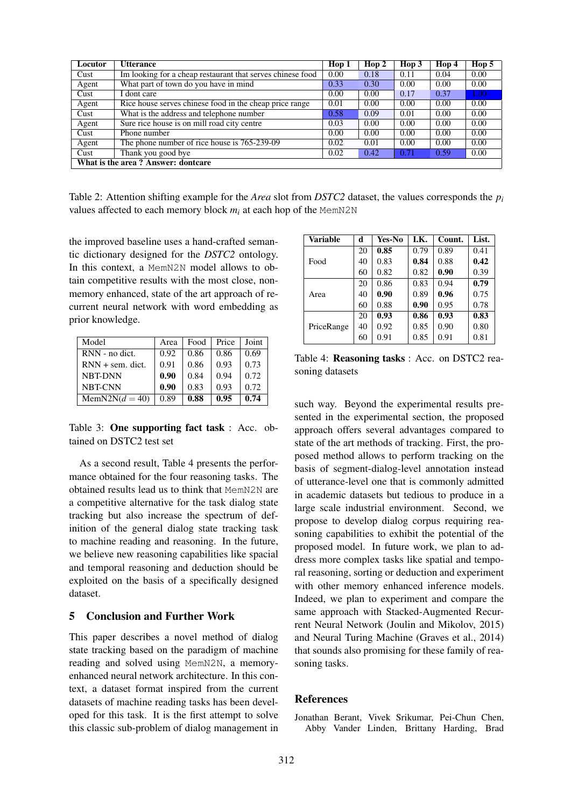| Locutor                            | <b>Utterance</b>                                           | Hop 1 | Hop 2 | Hop 3 | Hop 4 | Hop 5 |  |
|------------------------------------|------------------------------------------------------------|-------|-------|-------|-------|-------|--|
| Cust                               | Im looking for a cheap restaurant that serves chinese food | 0.00  | 0.18  | 0.11  | 0.04  | 0.00  |  |
| Agent                              | What part of town do you have in mind                      | 0.33  | 0.30  | 0.00  | 0.00  | 0.00  |  |
| Cust                               | I dont care                                                | 0.00  | 0.00  | 0.17  | 0.37  | 1.00  |  |
| Agent                              | Rice house serves chinese food in the cheap price range    | 0.01  | 0.00  | 0.00  | 0.00  | 0.00  |  |
| Cust                               | What is the address and telephone number                   | 0.58  | 0.09  | 0.01  | 0.00  | 0.00  |  |
| Agent                              | Sure rice house is on mill road city centre                | 0.03  | 0.00  | 0.00  | 0.00  | 0.00  |  |
| Cust                               | Phone number                                               | 0.00  | 0.00  | 0.00  | 0.00  | 0.00  |  |
| Agent                              | The phone number of rice house is 765-239-09               | 0.02  | 0.01  | 0.00  | 0.00  | 0.00  |  |
| Cust                               | Thank you good bye                                         | 0.02  | 0.42  | 0.71  | 0.59  | 0.00  |  |
| What is the area? Answer: dontcare |                                                            |       |       |       |       |       |  |

Table 2: Attention shifting example for the *Area* slot from *DSTC2* dataset, the values corresponds the *p<sup>i</sup>* values affected to each memory block  $m_i$  at each hop of the MemN2N

the improved baseline uses a hand-crafted semantic dictionary designed for the *DSTC2* ontology. In this context, a MemN2N model allows to obtain competitive results with the most close, nonmemory enhanced, state of the art approach of recurrent neural network with word embedding as prior knowledge.

| Model              | Area | Food | Price | Joint |
|--------------------|------|------|-------|-------|
| RNN - no dict.     | 0.92 | 0.86 | 0.86  | 0.69  |
| $RNN + sem.$ dict. | 0.91 | 0.86 | 0.93  | 0.73  |
| <b>NBT-DNN</b>     | 0.90 | 0.84 | 0.94  | 0.72  |
| <b>NBT-CNN</b>     | 0.90 | 0.83 | 0.93  | 0.72  |
| $MemN2N(d=40)$     | 0.89 | 0.88 | 0.95  | 0.74  |

Table 3: One supporting fact task : Acc. obtained on DSTC2 test set

As a second result, Table 4 presents the performance obtained for the four reasoning tasks. The obtained results lead us to think that MemN2N are a competitive alternative for the task dialog state tracking but also increase the spectrum of definition of the general dialog state tracking task to machine reading and reasoning. In the future, we believe new reasoning capabilities like spacial and temporal reasoning and deduction should be exploited on the basis of a specifically designed dataset.

### 5 Conclusion and Further Work

This paper describes a novel method of dialog state tracking based on the paradigm of machine reading and solved using MemN2N, a memoryenhanced neural network architecture. In this context, a dataset format inspired from the current datasets of machine reading tasks has been developed for this task. It is the first attempt to solve this classic sub-problem of dialog management in

| Variable   | d  | Yes-No | I.K. | Count. | List. |
|------------|----|--------|------|--------|-------|
|            | 20 | 0.85   | 0.79 | 0.89   | 0.41  |
| Food       | 40 | 0.83   | 0.84 | 0.88   | 0.42  |
|            | 60 | 0.82   | 0.82 | 0.90   | 0.39  |
|            | 20 | 0.86   | 0.83 | 0.94   | 0.79  |
| Area       | 40 | 0.90   | 0.89 | 0.96   | 0.75  |
|            | 60 | 0.88   | 0.90 | 0.95   | 0.78  |
|            | 20 | 0.93   | 0.86 | 0.93   | 0.83  |
| PriceRange | 40 | 0.92   | 0.85 | 0.90   | 0.80  |
|            | 60 | 0.91   | 0.85 | 0.91   | 0.81  |

Table 4: Reasoning tasks : Acc. on DSTC2 reasoning datasets

such way. Beyond the experimental results presented in the experimental section, the proposed approach offers several advantages compared to state of the art methods of tracking. First, the proposed method allows to perform tracking on the basis of segment-dialog-level annotation instead of utterance-level one that is commonly admitted in academic datasets but tedious to produce in a large scale industrial environment. Second, we propose to develop dialog corpus requiring reasoning capabilities to exhibit the potential of the proposed model. In future work, we plan to address more complex tasks like spatial and temporal reasoning, sorting or deduction and experiment with other memory enhanced inference models. Indeed, we plan to experiment and compare the same approach with Stacked-Augmented Recurrent Neural Network (Joulin and Mikolov, 2015) and Neural Turing Machine (Graves et al., 2014) that sounds also promising for these family of reasoning tasks.

#### **References**

Jonathan Berant, Vivek Srikumar, Pei-Chun Chen, Abby Vander Linden, Brittany Harding, Brad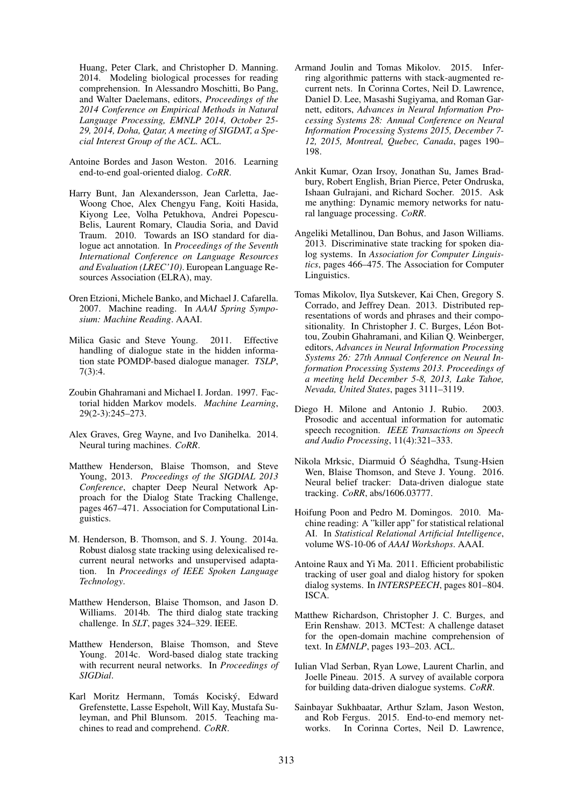Huang, Peter Clark, and Christopher D. Manning. 2014. Modeling biological processes for reading comprehension. In Alessandro Moschitti, Bo Pang, and Walter Daelemans, editors, *Proceedings of the 2014 Conference on Empirical Methods in Natural Language Processing, EMNLP 2014, October 25- 29, 2014, Doha, Qatar, A meeting of SIGDAT, a Special Interest Group of the ACL*. ACL.

- Antoine Bordes and Jason Weston. 2016. Learning end-to-end goal-oriented dialog. *CoRR*.
- Harry Bunt, Jan Alexandersson, Jean Carletta, Jae-Woong Choe, Alex Chengyu Fang, Koiti Hasida, Kiyong Lee, Volha Petukhova, Andrei Popescu-Belis, Laurent Romary, Claudia Soria, and David Traum. 2010. Towards an ISO standard for dialogue act annotation. In *Proceedings of the Seventh International Conference on Language Resources and Evaluation (LREC'10)*. European Language Resources Association (ELRA), may.
- Oren Etzioni, Michele Banko, and Michael J. Cafarella. 2007. Machine reading. In *AAAI Spring Symposium: Machine Reading*. AAAI.
- Milica Gasic and Steve Young. 2011. Effective handling of dialogue state in the hidden information state POMDP-based dialogue manager. *TSLP*, 7(3):4.
- Zoubin Ghahramani and Michael I. Jordan. 1997. Factorial hidden Markov models. *Machine Learning*, 29(2-3):245–273.
- Alex Graves, Greg Wayne, and Ivo Danihelka. 2014. Neural turing machines. *CoRR*.
- Matthew Henderson, Blaise Thomson, and Steve Young, 2013. *Proceedings of the SIGDIAL 2013 Conference*, chapter Deep Neural Network Approach for the Dialog State Tracking Challenge, pages 467–471. Association for Computational Linguistics.
- M. Henderson, B. Thomson, and S. J. Young. 2014a. Robust dialosg state tracking using delexicalised recurrent neural networks and unsupervised adaptation. In *Proceedings of IEEE Spoken Language Technology*.
- Matthew Henderson, Blaise Thomson, and Jason D. Williams. 2014b. The third dialog state tracking challenge. In *SLT*, pages 324–329. IEEE.
- Matthew Henderson, Blaise Thomson, and Steve Young. 2014c. Word-based dialog state tracking with recurrent neural networks. In *Proceedings of SIGDial*.
- Karl Moritz Hermann, Tomás Kociský, Edward Grefenstette, Lasse Espeholt, Will Kay, Mustafa Suleyman, and Phil Blunsom. 2015. Teaching machines to read and comprehend. *CoRR*.
- Armand Joulin and Tomas Mikolov. 2015. Inferring algorithmic patterns with stack-augmented recurrent nets. In Corinna Cortes, Neil D. Lawrence, Daniel D. Lee, Masashi Sugiyama, and Roman Garnett, editors, *Advances in Neural Information Processing Systems 28: Annual Conference on Neural Information Processing Systems 2015, December 7- 12, 2015, Montreal, Quebec, Canada*, pages 190– 198.
- Ankit Kumar, Ozan Irsoy, Jonathan Su, James Bradbury, Robert English, Brian Pierce, Peter Ondruska, Ishaan Gulrajani, and Richard Socher. 2015. Ask me anything: Dynamic memory networks for natural language processing. *CoRR*.
- Angeliki Metallinou, Dan Bohus, and Jason Williams. 2013. Discriminative state tracking for spoken dialog systems. In *Association for Computer Linguistics*, pages 466–475. The Association for Computer Linguistics.
- Tomas Mikolov, Ilya Sutskever, Kai Chen, Gregory S. Corrado, and Jeffrey Dean. 2013. Distributed representations of words and phrases and their compositionality. In Christopher J. C. Burges, Léon Bottou, Zoubin Ghahramani, and Kilian Q. Weinberger, editors, *Advances in Neural Information Processing Systems 26: 27th Annual Conference on Neural Information Processing Systems 2013. Proceedings of a meeting held December 5-8, 2013, Lake Tahoe, Nevada, United States*, pages 3111–3119.
- Diego H. Milone and Antonio J. Rubio. 2003. Prosodic and accentual information for automatic speech recognition. *IEEE Transactions on Speech and Audio Processing*, 11(4):321–333.
- Nikola Mrksic, Diarmuid Ó Séaghdha, Tsung-Hsien Wen, Blaise Thomson, and Steve J. Young. 2016. Neural belief tracker: Data-driven dialogue state tracking. *CoRR*, abs/1606.03777.
- Hoifung Poon and Pedro M. Domingos. 2010. Machine reading: A "killer app" for statistical relational AI. In *Statistical Relational Artificial Intelligence*, volume WS-10-06 of *AAAI Workshops*. AAAI.
- Antoine Raux and Yi Ma. 2011. Efficient probabilistic tracking of user goal and dialog history for spoken dialog systems. In *INTERSPEECH*, pages 801–804. ISCA.
- Matthew Richardson, Christopher J. C. Burges, and Erin Renshaw. 2013. MCTest: A challenge dataset for the open-domain machine comprehension of text. In *EMNLP*, pages 193–203. ACL.
- Iulian Vlad Serban, Ryan Lowe, Laurent Charlin, and Joelle Pineau. 2015. A survey of available corpora for building data-driven dialogue systems. *CoRR*.
- Sainbayar Sukhbaatar, Arthur Szlam, Jason Weston, and Rob Fergus. 2015. End-to-end memory networks. In Corinna Cortes, Neil D. Lawrence,